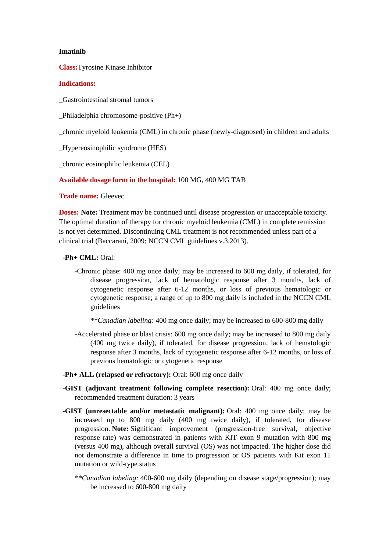## **Imatinib**

**Class:**Tyrosine Kinase Inhibitor

## **Indications:**

\_Gastrointestinal stromal tumors

\_Philadelphia chromosome-positive (Ph+)

\_chronic myeloid leukemia (CML) in chronic phase (newly-diagnosed) in children and adults

\_Hypereosinophilic syndrome (HES)

\_chronic eosinophilic leukemia (CEL)

**Available dosage form in the hospital:** 100 MG, 400 MG TAB

**Trade name:** Gleevec

**Doses: Note:** Treatment may be continued until disease progression or unacceptable toxicity. The optimal duration of therapy for chronic myeloid leukemia (CML) in complete remission is not yet determined. Discontinuing CML treatment is not recommended unless part of a clinical trial (Baccarani, 2009; NCCN CML guidelines v.3.2013).

## **-Ph+ CML:** Oral:

-Chronic phase: 400 mg once daily; may be increased to 600 mg daily, if tolerated, for disease progression, lack of hematologic response after 3 months, lack of cytogenetic response after 6-12 months, or loss of previous hematologic or cytogenetic response; a range of up to 800 mg daily is included in the NCCN CML guidelines

*\*\*Canadian labeling:* 400 mg once daily; may be increased to 600-800 mg daily

- -Accelerated phase or blast crisis: 600 mg once daily; may be increased to 800 mg daily (400 mg twice daily), if tolerated, for disease progression, lack of hematologic response after 3 months, lack of cytogenetic response after 6-12 months, or loss of previous hematologic or cytogenetic response
- **-Ph+ ALL (relapsed or refractory):** Oral: 600 mg once daily
- **-GIST (adjuvant treatment following complete resection):** Oral: 400 mg once daily; recommended treatment duration: 3 years
- **-GIST (unresectable and/or metastatic malignant):** Oral: 400 mg once daily; may be increased up to 800 mg daily (400 mg twice daily), if tolerated, for disease progression. **Note:** Significant improvement (progression-free survival, objective response rate) was demonstrated in patients with KIT exon 9 mutation with 800 mg (versus 400 mg), although overall survival (OS) was not impacted. The higher dose did not demonstrate a difference in time to progression or OS patients with Kit exon 11 mutation or wild-type status
	- *\*\*Canadian labeling:* 400-600 mg daily (depending on disease stage/progression); may be increased to 600-800 mg daily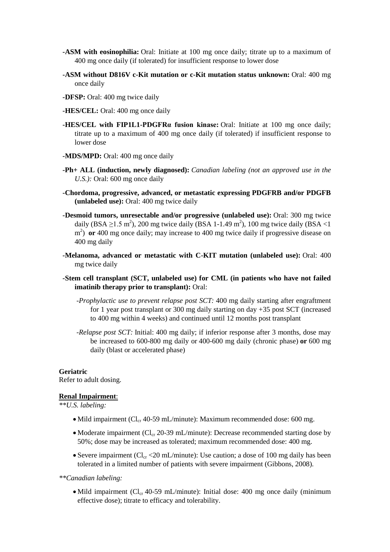- **-ASM with eosinophilia:** Oral: Initiate at 100 mg once daily; titrate up to a maximum of 400 mg once daily (if tolerated) for insufficient response to lower dose
- **-ASM without D816V c-Kit mutation or c-Kit mutation status unknown:** Oral: 400 mg once daily
- **-DFSP:** Oral: 400 mg twice daily
- **-HES/CEL:** Oral: 400 mg once daily
- **-HES/CEL with FIP1L1-PDGFRα fusion kinase:** Oral: Initiate at 100 mg once daily; titrate up to a maximum of 400 mg once daily (if tolerated) if insufficient response to lower dose
- **-MDS/MPD:** Oral: 400 mg once daily
- **-Ph+ ALL (induction, newly diagnosed):** *Canadian labeling (not an approved use in the U.S.):* Oral: 600 mg once daily
- **-Chordoma, progressive, advanced, or metastatic expressing PDGFRB and/or PDGFB (unlabeled use):** Oral: 400 mg twice daily
- **-Desmoid tumors, unresectable and/or progressive (unlabeled use):** Oral: 300 mg twice daily (BSA  $\geq$ 1.5 m<sup>2</sup>), 200 mg twice daily (BSA 1-1.49 m<sup>2</sup>), 100 mg twice daily (BSA <1 m<sup>2</sup>) or 400 mg once daily; may increase to 400 mg twice daily if progressive disease on 400 mg daily
- **-Melanoma, advanced or metastatic with C-KIT mutation (unlabeled use):** Oral: 400 mg twice daily
- **-Stem cell transplant (SCT, unlabeled use) for CML (in patients who have not failed imatinib therapy prior to transplant):** Oral:
	- *-Prophylactic use to prevent relapse post SCT:* 400 mg daily starting after engraftment for 1 year post transplant or 300 mg daily starting on day +35 post SCT (increased to 400 mg within 4 weeks) and continued until 12 months post transplant
	- *-Relapse post SCT:* Initial: 400 mg daily; if inferior response after 3 months, dose may be increased to 600-800 mg daily or 400-600 mg daily (chronic phase) **or** 600 mg daily (blast or accelerated phase)

## **Geriatric**

Refer to adult dosing.

#### **Renal Impairment**:

*\*\*U.S. labeling:*

- Mild impairment ( $Cl_{cr}$  40-59 mL/minute): Maximum recommended dose: 600 mg.
- Moderate impairment ( $Cl_{cr}$  20-39 mL/minute): Decrease recommended starting dose by 50%; dose may be increased as tolerated; maximum recommended dose: 400 mg.
- Severe impairment ( $Cl_{cr}$  <20 mL/minute): Use caution; a dose of 100 mg daily has been tolerated in a limited number of patients with severe impairment (Gibbons, 2008).

*\*\*Canadian labeling:*

• Mild impairment ( $Cl<sub>cr</sub>$  40-59 mL/minute): Initial dose: 400 mg once daily (minimum) effective dose); titrate to efficacy and tolerability.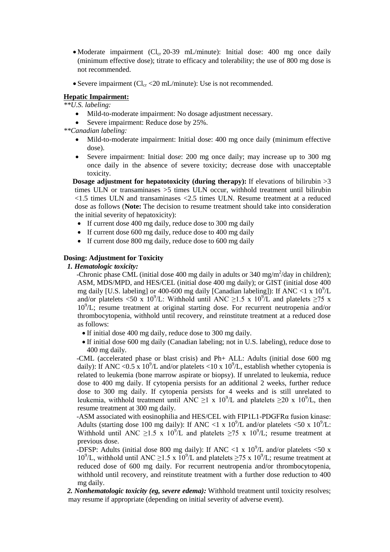- Moderate impairment ( $Cl_{cr}$  20-39 mL/minute): Initial dose: 400 mg once daily (minimum effective dose); titrate to efficacy and tolerability; the use of 800 mg dose is not recommended.
- Severe impairment ( $Cl_{cr}$  <20 mL/minute): Use is not recommended.

# **Hepatic Impairment:**

*\*\*U.S. labeling:*

- Mild-to-moderate impairment: No dosage adjustment necessary.
- Severe impairment: Reduce dose by 25%.

*\*\*Canadian labeling:*

- Mild-to-moderate impairment: Initial dose: 400 mg once daily (minimum effective dose).
- Severe impairment: Initial dose: 200 mg once daily; may increase up to 300 mg once daily in the absence of severe toxicity; decrease dose with unacceptable toxicity.

**Dosage adjustment for hepatotoxicity (during therapy):** If elevations of bilirubin  $>3$ times ULN or transaminases >5 times ULN occur, withhold treatment until bilirubin <1.5 times ULN and transaminases <2.5 times ULN. Resume treatment at a reduced dose as follows (**Note:** The decision to resume treatment should take into consideration the initial severity of hepatoxicity):

- If current dose 400 mg daily, reduce dose to 300 mg daily
- If current dose 600 mg daily, reduce dose to 400 mg daily
- If current dose 800 mg daily, reduce dose to 600 mg daily

## **Dosing: Adjustment for Toxicity**

## *1. Hematologic toxicity:*

-Chronic phase CML (initial dose 400 mg daily in adults or 340 mg/m<sup>2</sup>/day in children); ASM, MDS/MPD, and HES/CEL (initial dose 400 mg daily); or GIST (initial dose 400 mg daily [U.S. labeling] or 400-600 mg daily [Canadian labeling]): If ANC <1 x  $10^9$ /L and/or platelets <50 x 10<sup>9</sup>/L: Withhold until ANC ≥1.5 x 10<sup>9</sup>/L and platelets ≥75 x 10<sup>9</sup> /L; resume treatment at original starting dose. For recurrent neutropenia and/or thrombocytopenia, withhold until recovery, and reinstitute treatment at a reduced dose as follows:

- If initial dose 400 mg daily, reduce dose to 300 mg daily.
- If initial dose 600 mg daily (Canadian labeling; not in U.S. labeling), reduce dose to 400 mg daily.

 -CML (accelerated phase or blast crisis) and Ph+ ALL: Adults (initial dose 600 mg daily): If ANC <0.5 x 10<sup>9</sup>/L and/or platelets <10 x 10<sup>9</sup>/L, establish whether cytopenia is related to leukemia (bone marrow aspirate or biopsy). If unrelated to leukemia, reduce dose to 400 mg daily. If cytopenia persists for an additional 2 weeks, further reduce dose to 300 mg daily. If cytopenia persists for 4 weeks and is still unrelated to leukemia, withhold treatment until ANC  $\geq$ 1 x 10<sup>9</sup>/L and platelets  $\geq$ 20 x 10<sup>9</sup>/L, then resume treatment at 300 mg daily.

 -ASM associated with eosinophilia and HES/CEL with FIP1L1-PDGFRα fusion kinase: Adults (starting dose 100 mg daily): If ANC <1 x  $10^9$ /L and/or platelets <50 x  $10^9$ /L: Withhold until ANC  $\geq$ 1.5 x 10<sup>9</sup>/L and platelets  $\geq$ 75 x 10<sup>9</sup>/L; resume treatment at previous dose.

-DFSP: Adults (initial dose 800 mg daily): If ANC <1 x  $10^9$ /L and/or platelets <50 x  $10^9$ /L, withhold until ANC  $\geq$ 1.5 x  $10^9$ /L and platelets  $\geq$ 75 x  $10^9$ /L; resume treatment at reduced dose of 600 mg daily. For recurrent neutropenia and/or thrombocytopenia, withhold until recovery, and reinstitute treatment with a further dose reduction to 400 mg daily.

 *2. Nonhematologic toxicity (eg, severe edema):* Withhold treatment until toxicity resolves; may resume if appropriate (depending on initial severity of adverse event).